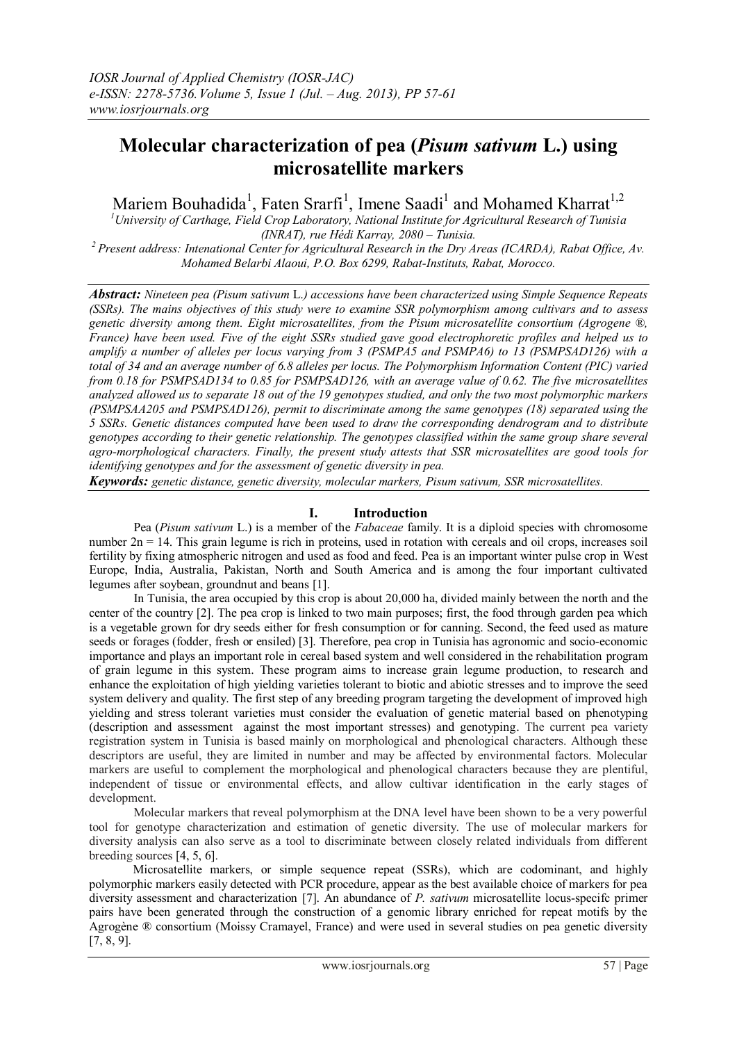# **Molecular characterization of pea (***Pisum sativum* **L.) using microsatellite markers**

Mariem Bouhadida<sup>1</sup>, Faten Srarfi<sup>1</sup>, Imene Saadi<sup>1</sup> and Mohamed Kharrat<sup>1,2</sup>

*<sup>1</sup>University of Carthage, Field Crop Laboratory, National Institute for Agricultural Research of Tunisia (INRAT), rue Hédi Karray, 2080 – Tunisia.*

*<sup>2</sup>Present address: Intenational Center for Agricultural Research in the Dry Areas (ICARDA), Rabat Office, Av. Mohamed Belarbi Alaoui, P.O. Box 6299, Rabat-Instituts, Rabat, Morocco.*

*Abstract: Nineteen pea (Pisum sativum* L.*) accessions have been characterized using Simple Sequence Repeats (SSRs). The mains objectives of this study were to examine SSR polymorphism among cultivars and to assess genetic diversity among them. Eight microsatellites, from the Pisum microsatellite consortium (Agrogene ®, France) have been used. Five of the eight SSRs studied gave good electrophoretic profiles and helped us to amplify a number of alleles per locus varying from 3 (PSMPA5 and PSMPA6) to 13 (PSMPSAD126) with a total of 34 and an average number of 6.8 alleles per locus. The Polymorphism Information Content (PIC) varied from 0.18 for PSMPSAD134 to 0.85 for PSMPSAD126, with an average value of 0.62. The five microsatellites analyzed allowed us to separate 18 out of the 19 genotypes studied, and only the two most polymorphic markers (PSMPSAA205 and PSMPSAD126), permit to discriminate among the same genotypes (18) separated using the 5 SSRs. Genetic distances computed have been used to draw the corresponding dendrogram and to distribute genotypes according to their genetic relationship. The genotypes classified within the same group share several agro-morphological characters. Finally, the present study attests that SSR microsatellites are good tools for identifying genotypes and for the assessment of genetic diversity in pea.*

*Keywords: genetic distance, genetic diversity, molecular markers, Pisum sativum, SSR microsatellites.*

# **I. Introduction**

Pea (*Pisum sativum* L.) is a member of the *Fabaceae* family. It is a diploid species with chromosome number  $2n = 14$ . This grain legume is rich in proteins, used in rotation with cereals and oil crops, increases soil fertility by fixing atmospheric nitrogen and used as food and feed. Pea is an important winter pulse crop in West Europe, India, Australia, Pakistan, North and South America and is among the four important cultivated legumes after soybean, groundnut and beans [1].

In Tunisia, the area occupied by this crop is about 20,000 ha, divided mainly between the north and the center of the country [2]. The pea crop is linked to two main purposes; first, the food through garden pea which is a vegetable grown for dry seeds either for fresh consumption or for canning. Second, the feed used as mature seeds or forages (fodder, fresh or ensiled) [3]. Therefore, pea crop in Tunisia has agronomic and socio-economic importance and plays an important role in cereal based system and well considered in the rehabilitation program of grain legume in this system. These program aims to increase grain legume production, to research and enhance the exploitation of high yielding varieties tolerant to biotic and abiotic stresses and to improve the seed system delivery and quality. The first step of any breeding program targeting the development of improved high yielding and stress tolerant varieties must consider the evaluation of genetic material based on phenotyping (description and assessment against the most important stresses) and genotyping. The current pea variety registration system in Tunisia is based mainly on morphological and phenological characters. Although these descriptors are useful, they are limited in number and may be affected by environmental factors. Molecular markers are useful to complement the morphological and phenological characters because they are plentiful, independent of tissue or environmental effects, and allow cultivar identification in the early stages of development.

Molecular markers that reveal polymorphism at the DNA level have been shown to be a very powerful tool for genotype characterization and estimation of genetic diversity. The use of molecular markers for diversity analysis can also serve as a tool to discriminate between closely related individuals from different breeding sources [4, 5, 6].

Microsatellite markers, or simple sequence repeat (SSRs), which are codominant, and highly polymorphic markers easily detected with PCR procedure, appear as the best available choice of markers for pea diversity assessment and characterization [7]. An abundance of *P. sativum* microsatellite locus-specifc primer pairs have been generated through the construction of a genomic library enriched for repeat motifs by the Agrogène ® consortium (Moissy Cramayel, France) and were used in several studies on pea genetic diversity  $[7, 8, 9]$ .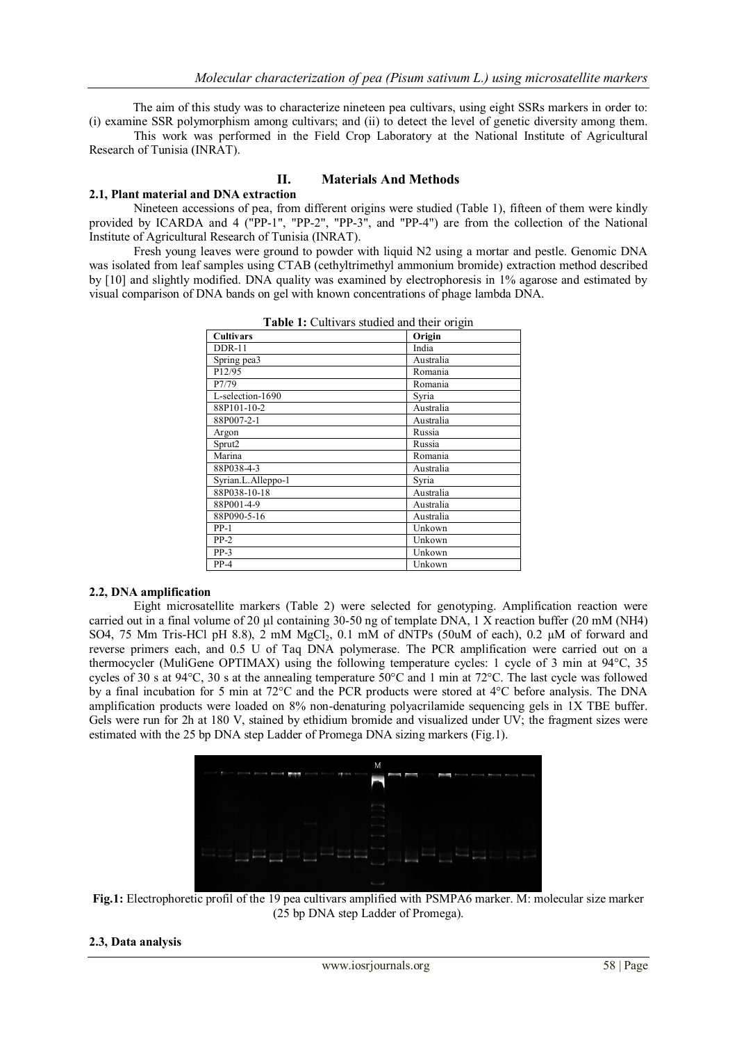The aim of this study was to characterize nineteen pea cultivars, using eight SSRs markers in order to: (i) examine SSR polymorphism among cultivars; and (ii) to detect the level of genetic diversity among them.

This work was performed in the Field Crop Laboratory at the National Institute of Agricultural Research of Tunisia (INRAT).

## **II. Materials And Methods**

## **2.1, Plant material and DNA extraction**

Nineteen accessions of pea, from different origins were studied (Table 1), fifteen of them were kindly provided by ICARDA and 4 ("PP-1", "PP-2", "PP-3", and "PP-4") are from the collection of the National Institute of Agricultural Research of Tunisia (INRAT).

Fresh young leaves were ground to powder with liquid N2 using a mortar and pestle. Genomic DNA was isolated from leaf samples using CTAB (cethyltrimethyl ammonium bromide) extraction method described by [10] and slightly modified. DNA quality was examined by electrophoresis in 1% agarose and estimated by visual comparison of DNA bands on gel with known concentrations of phage lambda DNA.

| <b>rable 1:</b> Cultival's studied and their origin |           |  |  |
|-----------------------------------------------------|-----------|--|--|
| <b>Cultivars</b>                                    | Origin    |  |  |
| $DDR-11$                                            | India     |  |  |
| Spring pea3                                         | Australia |  |  |
| P12/95                                              | Romania   |  |  |
| P7/79                                               | Romania   |  |  |
| L-selection-1690                                    | Syria     |  |  |
| 88P101-10-2                                         | Australia |  |  |
| 88P007-2-1                                          | Australia |  |  |
| Argon                                               | Russia    |  |  |
| Sprut2                                              | Russia    |  |  |
| Marina                                              | Romania   |  |  |
| 88P038-4-3                                          | Australia |  |  |
| Syrian.L.Alleppo-1                                  | Syria     |  |  |
| 88P038-10-18                                        | Australia |  |  |
| 88P001-4-9                                          | Australia |  |  |
| 88P090-5-16                                         | Australia |  |  |
| $PP-1$                                              | Unkown    |  |  |
| $PP-2$                                              | Unkown    |  |  |
| $PP-3$                                              | Unkown    |  |  |
| $PP-4$                                              | Unkown    |  |  |

**Table 1:** Cultivars studied and their origin

### **2.2, DNA amplification**

Eight microsatellite markers (Table 2) were selected for genotyping. Amplification reaction were carried out in a final volume of 20 µl containing 30-50 ng of template DNA, 1 X reaction buffer (20 mM (NH4) SO4, 75 Mm Tris-HCl pH 8.8), 2 mM  $MgCl<sub>2</sub>$ , 0.1 mM of dNTPs (50uM of each), 0.2 µM of forward and reverse primers each, and 0.5 U of Taq DNA polymerase. The PCR amplification were carried out on a thermocycler (MuliGene OPTIMAX) using the following temperature cycles: 1 cycle of 3 min at 94°C, 35 cycles of 30 s at 94 $^{\circ}$ C, 30 s at the annealing temperature 50 $^{\circ}$ C and 1 min at 72 $^{\circ}$ C. The last cycle was followed by a final incubation for 5 min at 72°C and the PCR products were stored at 4°C before analysis. The DNA amplification products were loaded on 8% non-denaturing polyacrilamide sequencing gels in 1X TBE buffer. Gels were run for 2h at 180 V, stained by ethidium bromide and visualized under UV; the fragment sizes were estimated with the 25 bp DNA step Ladder of Promega DNA sizing markers (Fig.1).



**Fig.1:** Electrophoretic profil of the 19 pea cultivars amplified with PSMPA6 marker. M: molecular size marker (25 bp DNA step Ladder of Promega).

## **2.3, Data analysis**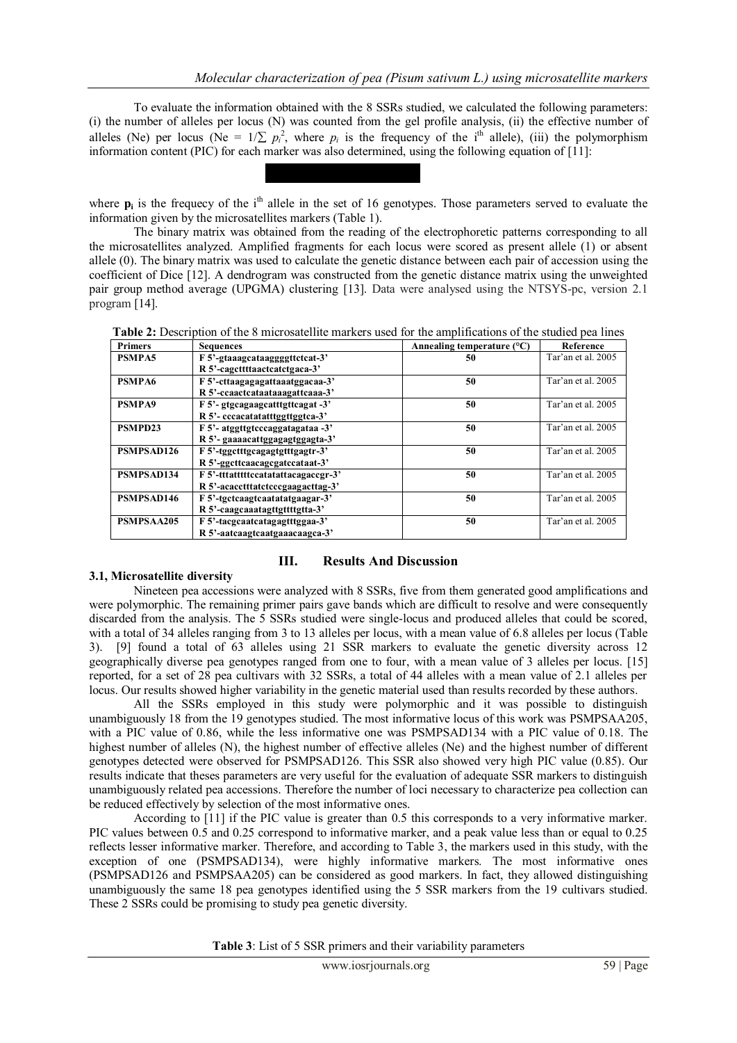To evaluate the information obtained with the 8 SSRs studied, we calculated the following parameters: (i) the number of alleles per locus (N) was counted from the gel profile analysis, (ii) the effective number of alleles (Ne) per locus (Ne =  $1/\sum p_i^2$ , where  $p_i$  is the frequency of the i<sup>th</sup> allele), (iii) the polymorphism information content (PIC) for each marker was also determined, using the following equation of [11]:



The binary matrix was obtained from the reading of the electrophoretic patterns corresponding to all the microsatellites analyzed. Amplified fragments for each locus were scored as present allele (1) or absent allele (0). The binary matrix was used to calculate the genetic distance between each pair of accession using the coefficient of Dice [12]. A dendrogram was constructed from the genetic distance matrix using the unweighted pair group method average (UPGMA) clustering [13]. Data were analysed using the NTSYS-pc, version 2.1 program [14].

| <b>Table 2:</b> Description of the 8 microsatellite markers used for the amplifications of the studied pea lines |  |
|------------------------------------------------------------------------------------------------------------------|--|
|------------------------------------------------------------------------------------------------------------------|--|

| <b>Primers</b> | <b>Sequences</b>                     | Annealing temperature $(^{\circ}C)$ | Reference          |
|----------------|--------------------------------------|-------------------------------------|--------------------|
| <b>PSMPA5</b>  | F 5'-gtaaagcataaggggttctcat-3'       | 50                                  | Tar'an et al. 2005 |
|                | R 5'-cagettttaactcatctgaca-3'        |                                     |                    |
| <b>PSMPA6</b>  | F 5'-cttaagagagattaaatggacaa-3'      | 50                                  | Tar'an et al. 2005 |
|                | R 5'-ccaactcataataaagattcaaa-3'      |                                     |                    |
| <b>PSMPA9</b>  | F 5'- gtgcagaagcatttgttcagat -3'     | 50                                  | Tar'an et al. 2005 |
|                | R 5'- cccacatatatttggttggtca-3'      |                                     |                    |
| PSMPD23        | F 5'- atggttgtcccaggatagataa -3'     | 50                                  | Tar'an et al. 2005 |
|                | R 5'- gaaaacattggagagtggagta-3'      |                                     |                    |
| PSMPSAD126     | F 5'-tggctttgcagagtgtttgagtr-3'      | 50                                  | Tar'an et al. 2005 |
|                | R 5'-ggcttcaacagcgatccataat-3'       |                                     |                    |
| PSMPSAD134     | F 5'-tttattttttccatatattacagaccgr-3' | 50                                  | Tar'an et al. 2005 |
|                | R 5'-acacctttatctcccgaagacttag-3'    |                                     |                    |
| PSMPSAD146     | F 5'-tgctcaagtcaatatatgaagar-3'      | 50                                  | Tar'an et al. 2005 |
|                | R 5'-caagcaaatagttgttttgtta-3'       |                                     |                    |
| PSMPSAA205     | F 5'-tacgcaatcatagagtttggaa-3'       | 50                                  | Tar'an et al. 2005 |
|                | R 5'-aatcaagtcaatgaaacaagca-3'       |                                     |                    |

# **III. Results And Discussion**

# **3.1, Microsatellite diversity**

Nineteen pea accessions were analyzed with 8 SSRs, five from them generated good amplifications and were polymorphic. The remaining primer pairs gave bands which are difficult to resolve and were consequently discarded from the analysis. The 5 SSRs studied were single-locus and produced alleles that could be scored, with a total of 34 alleles ranging from 3 to 13 alleles per locus, with a mean value of 6.8 alleles per locus (Table 3). [9] found a total of 63 alleles using 21 SSR markers to evaluate the genetic diversity across 12 geographically diverse pea genotypes ranged from one to four, with a mean value of 3 alleles per locus. [15]

reported, for a set of 28 pea cultivars with 32 SSRs, a total of 44 alleles with a mean value of 2.1 alleles per locus. Our results showed higher variability in the genetic material used than results recorded by these authors. All the SSRs employed in this study were polymorphic and it was possible to distinguish unambiguously 18 from the 19 genotypes studied. The most informative locus of this work was PSMPSAA205, with a PIC value of 0.86, while the less informative one was PSMPSAD134 with a PIC value of 0.18. The highest number of alleles (N), the highest number of effective alleles (Ne) and the highest number of different genotypes detected were observed for PSMPSAD126. This SSR also showed very high PIC value (0.85). Our results indicate that theses parameters are very useful for the evaluation of adequate SSR markers to distinguish unambiguously related pea accessions. Therefore the number of loci necessary to characterize pea collection can be reduced effectively by selection of the most informative ones.

According to [11] if the PIC value is greater than 0.5 this corresponds to a very informative marker. PIC values between 0.5 and 0.25 correspond to informative marker, and a peak value less than or equal to 0.25 reflects lesser informative marker. Therefore, and according to Table 3, the markers used in this study, with the exception of one (PSMPSAD134), were highly informative markers. The most informative ones (PSMPSAD126 and PSMPSAA205) can be considered as good markers. In fact, they allowed distinguishing unambiguously the same 18 pea genotypes identified using the 5 SSR markers from the 19 cultivars studied. These 2 SSRs could be promising to study pea genetic diversity.

**Table 3**: List of 5 SSR primers and their variability parameters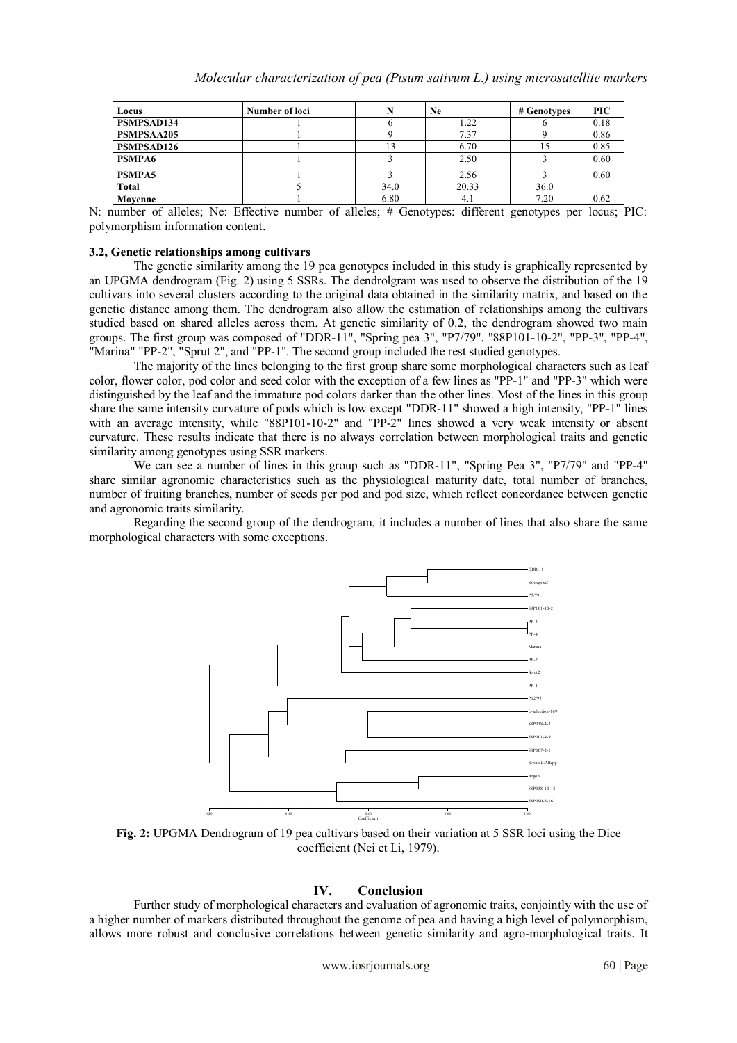| Locus             | Number of loci | N    | <b>Ne</b> | # Genotypes | <b>PIC</b> |
|-------------------|----------------|------|-----------|-------------|------------|
| PSMPSAD134        |                |      | 1.22      |             | 0.18       |
| <b>PSMPSAA205</b> |                |      | 7.37      |             | 0.86       |
| <b>PSMPSAD126</b> |                |      | 6.70      |             | 0.85       |
| <b>PSMPA6</b>     |                |      | 2.50      |             | 0.60       |
| <b>PSMPA5</b>     |                |      | 2.56      |             | 0.60       |
| <b>Total</b>      |                | 34.0 | 20.33     | 36.0        |            |
| Movenne           |                | 6.80 | 4.1       | 7.20        | 0.62       |

N: number of alleles; Ne: Effective number of alleles; # Genotypes: different genotypes per locus; PIC: polymorphism information content.

### **3.2, Genetic relationships among cultivars**

The genetic similarity among the 19 pea genotypes included in this study is graphically represented by an UPGMA dendrogram (Fig. 2) using 5 SSRs. The dendrolgram was used to observe the distribution of the 19 cultivars into several clusters according to the original data obtained in the similarity matrix, and based on the genetic distance among them. The dendrogram also allow the estimation of relationships among the cultivars studied based on shared alleles across them. At genetic similarity of 0.2, the dendrogram showed two main groups. The first group was composed of "DDR-11", "Spring pea 3", "P7/79", "88P101-10-2", "PP-3", "PP-4", "Marina" "PP-2", "Sprut 2", and "PP-1". The second group included the rest studied genotypes.

The majority of the lines belonging to the first group share some morphological characters such as leaf color, flower color, pod color and seed color with the exception of a few lines as "PP-1" and "PP-3" which were distinguished by the leaf and the immature pod colors darker than the other lines. Most of the lines in this group share the same intensity curvature of pods which is low except "DDR-11" showed a high intensity, "PP-1" lines with an average intensity, while "88P101-10-2" and "PP-2" lines showed a very weak intensity or absent curvature. These results indicate that there is no always correlation between morphological traits and genetic similarity among genotypes using SSR markers.

We can see a number of lines in this group such as "DDR-11", "Spring Pea 3", "P7/79" and "PP-4" share similar agronomic characteristics such as the physiological maturity date, total number of branches, number of fruiting branches, number of seeds per pod and pod size, which reflect concordance between genetic and agronomic traits similarity.

Regarding the second group of the dendrogram, it includes a number of lines that also share the same morphological characters with some exceptions.



**Fig. 2:** UPGMA Dendrogram of 19 pea cultivars based on their variation at 5 SSR loci using the Dice coefficient (Nei et Li, 1979).

### **IV. Conclusion**

Further study of morphological characters and evaluation of agronomic traits, conjointly with the use of a higher number of markers distributed throughout the genome of pea and having a high level of polymorphism, allows more robust and conclusive correlations between genetic similarity and agro-morphological traits. It